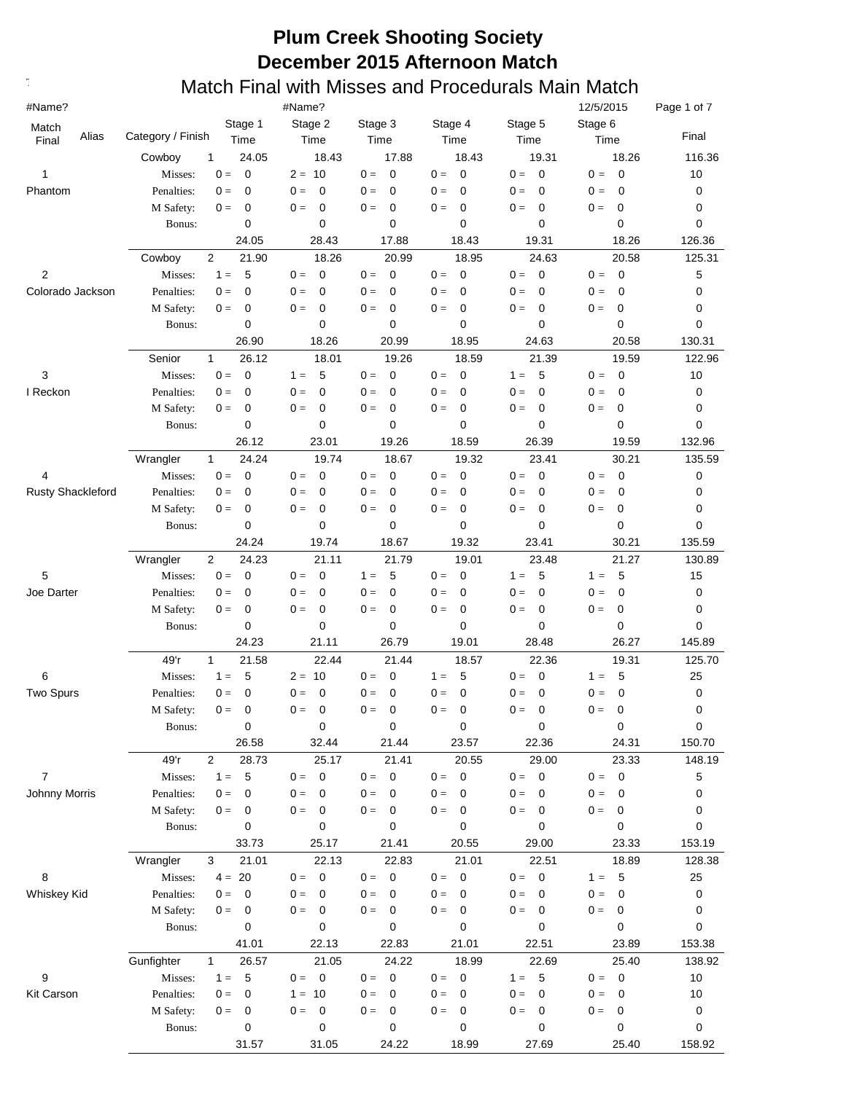| #Name?                |                       |                          | #Name?                            |                               |                                   |                           | 12/5/2015                        | Page 1 of 7 |
|-----------------------|-----------------------|--------------------------|-----------------------------------|-------------------------------|-----------------------------------|---------------------------|----------------------------------|-------------|
| Match                 |                       | Stage 1                  | Stage 2                           | Stage 3                       | Stage 4                           | Stage 5                   | Stage 6                          |             |
| Alias<br>Final        | Category / Finish     | Time                     | Time                              | Time                          | Time                              | Time                      | Time                             | Final       |
|                       | Cowboy                | 1<br>24.05               | 18.43                             | 17.88                         | 18.43                             | 19.31                     | 18.26                            | 116.36      |
| 1                     | Misses:               | 0<br>$0 =$               | $2 = 10$                          | 0<br>$0 =$                    | $\overline{0}$<br>$0 =$           | $\overline{0}$<br>$0 =$   | $0 =$<br>0                       | 10          |
| Phantom               | Penalties:            | 0<br>$0 =$               | $\mathbf 0$<br>$0 =$              | $\mathbf 0$<br>$0 =$          | $0 =$<br>$\mathbf 0$              | $0 =$<br>$\mathbf 0$      | 0<br>$0 =$                       | 0           |
|                       | M Safety:             | 0<br>$0 =$               | $0 =$<br>0                        | $0 =$<br>0                    | $0 =$<br>$\mathbf 0$              | $0 =$<br>0                | 0<br>$0 =$                       | 0           |
|                       | Bonus:                | 0                        | 0                                 | 0                             | 0                                 | 0                         | $\mathbf 0$                      | 0           |
|                       |                       | 24.05                    | 28.43                             | 17.88                         | 18.43                             | 19.31                     | 18.26                            | 126.36      |
|                       | Cowboy                | $\overline{2}$<br>21.90  | 18.26<br>$\mathbf 0$<br>$0 =$     | 20.99<br>$0 =$<br>$\mathbf 0$ | 18.95<br>$0 =$                    | 24.63<br>$0 =$            | 20.58<br>$\mathbf 0$<br>$0 =$    | 125.31      |
| 2<br>Colorado Jackson | Misses:<br>Penalties: | 5<br>$1 =$<br>0<br>$0 =$ | $0 =$<br>0                        | $0 =$<br>0                    | $\pmb{0}$<br>$0 =$<br>$\mathbf 0$ | $\mathbf 0$<br>$0 =$<br>0 | $0 =$<br>0                       | 5<br>0      |
|                       | M Safety:             | 0<br>$0 =$               | $0 =$<br>0                        | $\pmb{0}$<br>$0 =$            | $0 =$<br>$\mathbf 0$              | $0 =$<br>0                | $0 =$<br>0                       | 0           |
|                       | Bonus:                | 0                        | 0                                 | 0                             | 0                                 | 0                         | $\mathbf 0$                      | 0           |
|                       |                       | 26.90                    | 18.26                             | 20.99                         | 18.95                             | 24.63                     | 20.58                            | 130.31      |
|                       | Senior                | $\mathbf{1}$<br>26.12    | 18.01                             | 19.26                         | 18.59                             | 21.39                     | 19.59                            | 122.96      |
| 3                     | Misses:               | $0 =$<br>$\mathbf 0$     | 5<br>$1 =$                        | $\mathbf 0$<br>$0 =$          | $\mathbf 0$<br>$0 =$              | $1 =$<br>5                | $0 =$<br>0                       | 10          |
| I Reckon              | Penalties:            | 0<br>$0 =$               | $0 =$<br>0                        | $\mathbf 0$<br>$0 =$          | $\mathbf 0$<br>$0 =$              | $\mathbf 0$<br>$0 =$      | $0 =$<br>$\mathbf 0$             | 0           |
|                       | M Safety:             | 0<br>$0 =$               | $0 =$<br>0                        | $\mathbf 0$<br>$0 =$          | $0 =$<br>$\mathbf 0$              | $0 =$<br>0                | $0 =$<br>0                       | 0           |
|                       | Bonus:                | 0                        | 0                                 | 0                             | 0                                 | 0                         | $\mathbf 0$                      | 0           |
|                       |                       | 26.12                    | 23.01                             | 19.26                         | 18.59                             | 26.39                     | 19.59                            | 132.96      |
|                       | Wrangler              | $\mathbf{1}$<br>24.24    | 19.74                             | 18.67                         | 19.32                             | 23.41                     | 30.21                            | 135.59      |
| 4                     | Misses:               | 0<br>$0 =$               | $0 =$<br>0                        | $0 =$<br>0                    | $\mathbf 0$<br>$0 =$              | $0 =$<br>$\mathbf 0$      | 0<br>$0 =$                       | 0           |
| Rusty Shackleford     | Penalties:            | 0<br>$0 =$               | $0 =$<br>0                        | $\mathbf 0$<br>$0 =$          | $\mathbf 0$<br>$0 =$              | $\mathbf 0$<br>$0 =$      | $0 =$<br>$\mathbf 0$             | 0           |
|                       | M Safety:             | 0<br>$0 =$               | $0 =$<br>0                        | $\mathbf 0$<br>$0 =$          | $0 =$<br>$\mathbf 0$              | $0 =$<br>$\mathbf 0$      | $0 =$<br>0                       | 0           |
|                       | Bonus:                | 0                        | 0                                 | 0                             | 0                                 | 0                         | $\mathbf 0$                      | 0           |
|                       |                       | 24.24                    | 19.74                             | 18.67                         | 19.32                             | 23.41                     | 30.21                            | 135.59      |
|                       | Wrangler              | $\overline{2}$<br>24.23  | 21.11                             | 21.79                         | 19.01                             | 23.48                     | 21.27                            | 130.89      |
| 5                     | Misses:               | $0 =$<br>0               | $0 =$<br>0                        | $1 =$<br>5                    | $0 =$<br>0                        | $1 =$<br>5                | $1 =$<br>5                       | 15          |
| Joe Darter            | Penalties:            | 0<br>$0 =$               | $\mathbf 0$<br>$0 =$              | $\mathbf 0$<br>$0 =$          | $\mathbf 0$<br>$0 =$              | $\mathbf 0$<br>$0 =$      | $\mathbf 0$<br>$0 =$             | 0           |
|                       | M Safety:<br>Bonus:   | 0<br>$0 =$<br>0          | $\mathbf 0$<br>$0 =$<br>0         | $\mathbf 0$<br>$0 =$<br>0     | $\mathbf 0$<br>$0 =$<br>0         | $\mathbf 0$<br>$0 =$<br>0 | $0 =$<br>0<br>0                  | 0<br>0      |
|                       |                       | 24.23                    | 21.11                             | 26.79                         | 19.01                             | 28.48                     | 26.27                            | 145.89      |
|                       | 49'r                  | $\mathbf{1}$<br>21.58    | 22.44                             | 21.44                         | 18.57                             | 22.36                     | 19.31                            | 125.70      |
| 6                     | Misses:               | 5<br>$1 =$               | 10<br>$2 =$                       | $0 =$<br>$\mathbf 0$          | 5<br>$1 =$                        | $\overline{0}$<br>$0 =$   | 5<br>$1 =$                       | 25          |
| <b>Two Spurs</b>      | Penalties:            | $\mathbf 0$<br>$0 =$     | 0<br>$0 =$                        | 0<br>$0 =$                    | $\mathbf 0$<br>$0 =$              | $0 =$<br>$\mathbf 0$      | 0<br>$0 =$                       | 0           |
|                       | M Safety:             | 0<br>$0 =$               | $0 =$<br>0                        | 0<br>$0 =$                    | $0 =$<br>$\mathbf 0$              | $0 =$<br>0                | $0 =$<br>0                       | 0           |
|                       | Bonus:                | 0                        | 0                                 | 0                             | $\pmb{0}$                         | 0                         | 0                                | $\mathbf 0$ |
|                       |                       | 26.58                    | 32.44                             | 21.44                         | 23.57                             | 22.36                     | 24.31                            | 150.70      |
|                       | 49'r                  | $\overline{2}$<br>28.73  | 25.17                             | 21.41                         | 20.55                             | 29.00                     | 23.33                            | 148.19      |
| 7                     | Misses:               | 5<br>$1 =$               | $\overline{\mathbf{0}}$<br>$0 =$  | $0 = 0$                       | $\overline{\phantom{0}}$<br>$0 =$ | $0 = 0$                   | $\overline{\mathbf{0}}$<br>$0 =$ | 5           |
| <b>Johnny Morris</b>  | Penalties:            | 0<br>$0 =$               | $0 =$<br>0                        | $0 =$<br>0                    | $\mathbf{0} =$<br>0               | $0 =$<br>$\mathbf 0$      | $0 =$<br>0                       | 0           |
|                       | M Safety:             | 0<br>$0 =$               | $0 =$<br>0                        | $\mathbf 0$<br>$0 =$          | $0 =$<br>$\mathbf 0$              | $0 =$<br>$\mathbf 0$      | $0 =$<br>$\mathbf 0$             | 0           |
|                       | Bonus:                | 0                        | 0                                 | 0                             | 0                                 | 0                         | 0                                | 0           |
|                       |                       | 33.73                    | 25.17                             | 21.41                         | 20.55                             | 29.00                     | 23.33                            | 153.19      |
|                       | Wrangler              | 21.01<br>3               | 22.13                             | 22.83                         | 21.01                             | 22.51                     | 18.89                            | 128.38      |
| 8                     | Misses:               | $4 = 20$                 | $\overline{\phantom{0}}$<br>$0 =$ | $0 = 0$                       | $\overline{\phantom{0}}$<br>$0 =$ | $0 = 0$                   | $1 =$<br>- 5                     | 25          |
| Whiskey Kid           | Penalties:            | $0 =$<br>0               | $0 =$<br>0                        | $0 =$<br>0                    | $0 =$<br>0                        | $0 =$<br>0                | $0 =$<br>0                       | 0           |
|                       | M Safety:             | $0 =$<br>0<br>0          | $0 =$<br>0<br>0                   | $0 =$<br>0<br>0               | $0 =$<br>0<br>0                   | 0<br>$0 =$<br>0           | $0 =$<br>0<br>0                  | 0<br>0      |
|                       | Bonus:                | 41.01                    | 22.13                             | 22.83                         | 21.01                             | 22.51                     | 23.89                            | 153.38      |
|                       | Gunfighter            | 1<br>26.57               | 21.05                             | 24.22                         | 18.99                             | 22.69                     | 25.40                            | 138.92      |
| 9                     | Misses:               | 5<br>$1 =$               | $0 = 0$                           | $0 = 0$                       | $\overline{\mathbf{0}}$<br>$0 =$  | $1 = 5$                   | $\overline{\mathbf{0}}$<br>$0 =$ | 10          |
| Kit Carson            | Penalties:            | 0<br>$0 =$               | $1 = 10$                          | $0 =$<br>0                    | $0 =$<br>0                        | $\mathbf 0$<br>$0 =$      | $0 =$<br>0                       | 10          |
|                       | M Safety:             | $0 =$<br>0               | 0<br>$0 =$                        | 0<br>$0 =$                    | $0 =$<br>0                        | $\mathbf 0$<br>$0 =$      | $0 =$<br>0                       | 0           |
|                       | Bonus:                | 0                        | 0                                 | 0                             | 0                                 | 0                         | 0                                | 0           |
|                       |                       | 31.57                    | 31.05                             | 24.22                         | 18.99                             | 27.69                     | 25.40                            | 158.92      |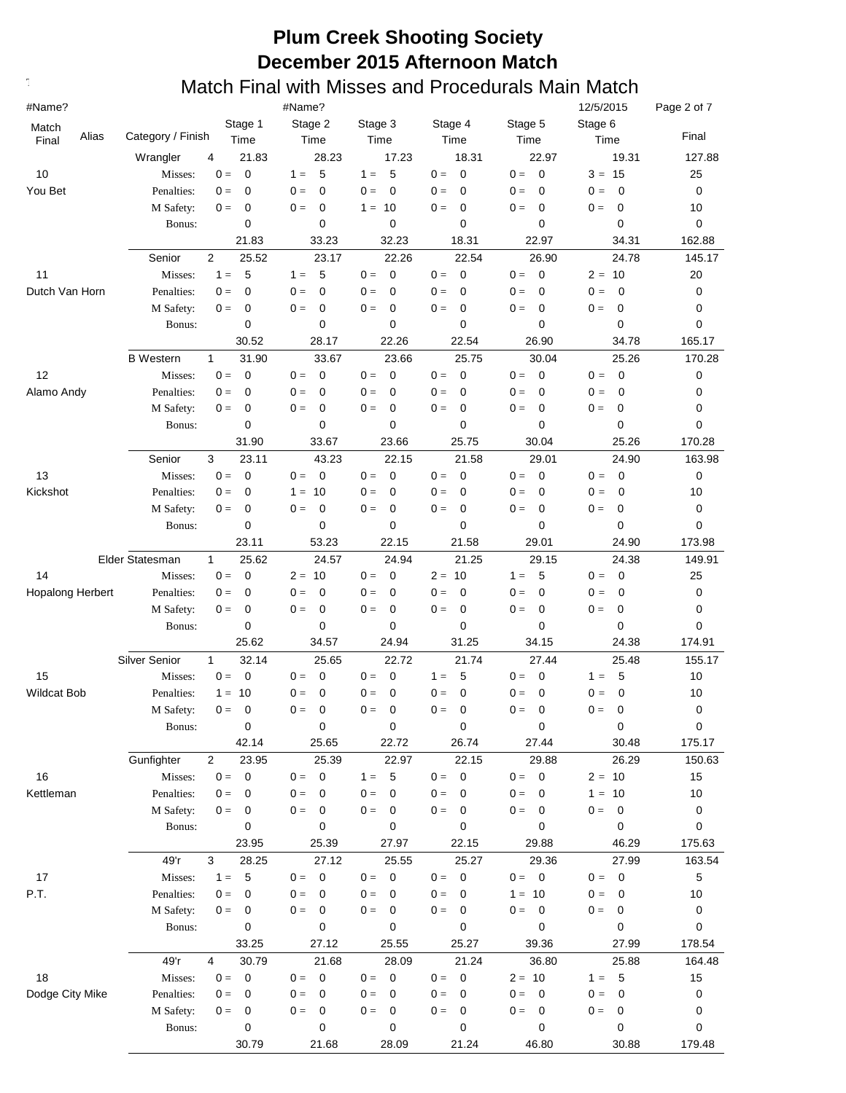| #Name?             |                   |                         | #Name?                            |                                  |                                  |                         | 12/5/2015                        | Page 2 of 7 |
|--------------------|-------------------|-------------------------|-----------------------------------|----------------------------------|----------------------------------|-------------------------|----------------------------------|-------------|
| Match              |                   | Stage 1                 | Stage 2                           | Stage 3                          | Stage 4                          | Stage 5                 | Stage 6                          |             |
| Alias<br>Final     | Category / Finish | Time                    | Time                              | Time                             | Time                             | Time                    | Time                             | Final       |
|                    | Wrangler          | 21.83<br>4              | 28.23                             | 17.23                            | 18.31                            | 22.97                   | 19.31                            | 127.88      |
| 10                 | Misses:           | $\mathbf 0$<br>$0 =$    | 5<br>$1 =$                        | 5<br>$1 =$                       | $0 =$<br>$\mathbf 0$             | $\overline{0}$<br>$0 =$ | $3 =$<br>15                      | 25          |
| You Bet            | Penalties:        | $\mathbf 0$<br>$0 =$    | $0 =$<br>0                        | $\mathbf 0$<br>$0 =$             | $0 =$<br>$\mathbf 0$             | $0 =$<br>0              | 0<br>$0 =$                       | 0           |
|                    | M Safety:         | 0<br>$0 =$              | $0 =$<br>0                        | $1 = 10$                         | $0 =$<br>0                       | 0<br>$0 =$              | 0<br>$0 =$                       | 10          |
|                    | Bonus:            | 0                       | 0                                 | 0                                | 0                                | 0                       | $\mathbf 0$                      | 0           |
|                    |                   | 21.83                   | 33.23                             | 32.23                            | 18.31                            | 22.97                   | 34.31                            | 162.88      |
|                    | Senior            | 2<br>25.52              | 23.17                             | 22.26                            | 22.54                            | 26.90                   | 24.78                            | 145.17      |
| 11                 | Misses:           | 5<br>$1 =$              | 5<br>$1 =$                        | $\mathbf{0} =$<br>$\mathbf 0$    | $\overline{0}$<br>$0 =$          | $\overline{0}$<br>$0 =$ | $2 =$<br>10                      | 20          |
| Dutch Van Horn     | Penalties:        | $\mathbf 0$<br>$0 =$    | $\mathbf 0$<br>$0 =$              | $0 =$<br>0                       | $\mathbf 0$<br>$0 =$             | $0 =$<br>$\mathbf 0$    | $0 =$<br>$\mathbf 0$             | 0           |
|                    | M Safety:         | 0<br>$0 =$              | 0<br>$0 =$                        | $\mathbf 0$<br>$0 =$             | $\mathbf 0$<br>$0 =$             | $\mathbf 0$<br>$0 =$    | 0<br>$0 =$                       | 0           |
|                    | Bonus:            | 0                       | 0                                 | 0                                | 0                                | 0                       | 0                                | 0           |
|                    |                   | 30.52                   | 28.17                             | 22.26                            | 22.54                            | 26.90                   | 34.78                            | 165.17      |
|                    | <b>B</b> Western  | $\mathbf{1}$<br>31.90   | 33.67                             | 23.66                            | 25.75                            | 30.04                   | 25.26                            | 170.28      |
| 12                 | Misses:           | $0 =$<br>0              | $0 =$<br>0                        | $0 =$<br>0                       | $\mathbf 0$<br>$0 =$             | $0 =$<br>$\mathbf 0$    | $0 =$<br>$\mathbf 0$             | 0           |
| Alamo Andy         | Penalties:        | 0<br>$0 =$              | $0 =$<br>0                        | $0 =$<br>0                       | $0 =$<br>0                       | $0 =$<br>$\mathbf 0$    | $0 =$<br>0                       | 0           |
|                    | M Safety:         | 0<br>$0 =$              | $0 =$<br>0                        | $0 =$<br>0                       | $0 =$<br>$\mathbf 0$             | $0 =$<br>$\mathbf 0$    | $0 =$<br>0                       | 0           |
|                    | Bonus:            | 0                       | 0                                 | 0                                | 0                                | 0                       | $\mathbf 0$                      | 0           |
|                    |                   | 31.90                   | 33.67                             | 23.66                            | 25.75                            | 30.04                   | 25.26                            | 170.28      |
|                    | Senior            | 3<br>23.11              | 43.23                             | 22.15                            | 21.58                            | 29.01                   | 24.90                            | 163.98      |
| 13                 | Misses:           | $0 =$<br>$\mathbf 0$    | $\mathbf 0$<br>$0 =$              | $\mathbf 0$<br>$0 =$             | $\mathbf 0$<br>$0 =$             | $0 =$<br>$\mathbf 0$    | $0 =$<br>$\mathbf 0$             | 0           |
| Kickshot           | Penalties:        | 0<br>$0 =$              | 10<br>$1 =$                       | $\mathbf 0$<br>$0 =$             | $\mathbf 0$<br>$0 =$             | $\mathbf 0$<br>$0 =$    | $0 =$<br>$\mathbf 0$             | 10          |
|                    | M Safety:         | 0<br>$0 =$              | $\mathbf 0$<br>$0 =$              | $\mathbf 0$<br>$0 =$             | $\mathbf 0$<br>$0 =$             | $\mathbf 0$<br>$0 =$    | $0 =$<br>0                       | 0           |
|                    | Bonus:            | 0                       | 0                                 | 0                                | 0                                | 0                       | $\mathbf 0$                      | 0           |
|                    |                   | 23.11                   | 53.23                             | 22.15                            | 21.58                            | 29.01                   | 24.90                            | 173.98      |
|                    | Elder Statesman   | $\mathbf{1}$<br>25.62   | 24.57                             | 24.94                            | 21.25                            | 29.15                   | 24.38                            | 149.91      |
| 14                 | Misses:           | $0 =$<br>0              | $2 =$<br>10                       | $0 =$<br>0                       | $2 =$<br>10                      | $1 =$<br>5              | $0 =$<br>0                       | 25          |
| Hopalong Herbert   | Penalties:        | 0<br>$0 =$              | $\mathbf 0$<br>$0 =$              | $0 =$<br>0                       | $0 =$<br>0                       | $\mathbf 0$<br>$0 =$    | 0<br>$0 =$                       | 0           |
|                    | M Safety:         | 0<br>$0 =$              | 0<br>$0 =$                        | $0 =$<br>0                       | $0 =$<br>$\mathbf 0$             | $0 =$<br>$\mathbf 0$    | $0 =$<br>0                       | 0           |
|                    | Bonus:            | 0                       | 0                                 | 0                                | 0                                | 0                       | $\mathbf 0$                      | 0           |
|                    |                   | 25.62                   | 34.57                             | 24.94                            | 31.25                            | 34.15                   | 24.38                            | 174.91      |
|                    | Silver Senior     | $\mathbf{1}$<br>32.14   | 25.65                             | 22.72                            | 21.74                            | 27.44                   | 25.48                            | 155.17      |
| 15                 | Misses:           | $\mathbf 0$<br>$0 =$    | 0<br>$0 =$                        | $0 =$<br>0                       | 5<br>$1 =$                       | $\mathbf 0$<br>$0 =$    | 5<br>$1 =$                       | 10          |
| <b>Wildcat Bob</b> | Penalties:        | 10<br>$1 =$             | $\mathbf 0$<br>$0 =$              | $\mathbf 0$<br>$0 =$             | $\mathbf 0$<br>$0 =$             | 0<br>$0 =$              | $\mathbf 0$<br>$0 =$             | 10          |
|                    | M Safety:         | $\mathbf 0$<br>$0 =$    | 0<br>$0 =$                        | 0<br>$0 =$                       | $0 =$<br>0                       | $\mathbf 0$<br>$0 =$    | $0 =$<br>0                       | $\mathbf 0$ |
|                    | Bonus:            | 0                       | 0                                 | 0                                | 0                                | 0                       | 0                                | $\pmb{0}$   |
|                    |                   | 42.14                   | 25.65                             | 22.72                            | 26.74                            | 27.44                   | 30.48                            | 175.17      |
|                    | Gunfighter        | $\overline{2}$<br>23.95 | 25.39                             | 22.97                            | 22.15                            | 29.88                   | 26.29                            | 150.63      |
| 16                 | Misses:           | $0 =$<br>$\overline{0}$ | $\overline{\phantom{0}}$<br>$0 =$ | 5<br>$1 =$                       | $\overline{\mathbf{0}}$<br>$0 =$ | $0 = 0$                 | $2 = 10$                         | 15          |
| Kettleman          | Penalties:        | $0 =$<br>0              | $0 =$<br>0                        | $0 =$<br>$\mathbf 0$             | $0 =$<br>$\mathbf 0$             | $0 =$<br>$\mathbf 0$    | 10<br>$1 =$                      | 10          |
|                    | M Safety:         | 0<br>$0 =$              | $0 =$<br>0                        | $0 =$<br>0                       | $0 =$<br>$\mathbf 0$             | $0 =$<br>$\mathbf 0$    | $0 =$<br>0                       | 0           |
|                    | Bonus:            | 0                       | 0                                 | 0                                | 0                                | 0                       | 0                                | 0           |
|                    |                   | 23.95                   | 25.39                             | 27.97                            | 22.15                            | 29.88                   | 46.29                            | 175.63      |
|                    | 49'r              | 3<br>28.25              | 27.12                             | 25.55                            | 25.27                            | 29.36                   | 27.99                            | 163.54      |
| 17                 | Misses:           | 5<br>$1 =$              | $\mathbf 0$<br>$0 =$              | $\overline{\mathbf{0}}$<br>$0 =$ | $\overline{\mathbf{0}}$<br>$0 =$ | $0 = 0$                 | $\overline{\mathbf{0}}$<br>$0 =$ | 5           |
| P.T.               | Penalties:        | $0 =$<br>0              | $0 =$<br>0                        | $0 =$<br>0                       | $0 =$<br>0                       | $1 = 10$                | $0 =$<br>0                       | 10          |
|                    | M Safety:         | $0 =$<br>0              | 0<br>$0 =$                        | $0 =$<br>0                       | $0 =$<br>0                       | $\mathbf 0$<br>$0 =$    | $0 =$<br>0                       | 0           |
|                    | Bonus:            | 0                       | 0                                 | 0                                | 0                                | 0                       | 0                                | 0           |
|                    |                   | 33.25                   | 27.12                             | 25.55                            | 25.27                            | 39.36                   | 27.99                            | 178.54      |
|                    | 49'r              | 4<br>30.79              | 21.68                             | 28.09                            | 21.24                            | 36.80                   | 25.88                            | 164.48      |
| 18                 | Misses:           | 0<br>$0 =$              | $\overline{\mathbf{0}}$<br>$0 =$  | $0 =$<br>$\overline{\mathbf{0}}$ | $\overline{\mathbf{0}}$<br>$0 =$ | $2 = 10$                | 5<br>$1 =$                       | 15          |
| Dodge City Mike    | Penalties:        | $0 =$<br>0              | $0 =$<br>0                        | $0 =$<br>0                       | $0 =$<br>0                       | $0 =$<br>0              | $0 =$<br>0                       | 0           |
|                    | M Safety:         | $0 =$<br>0<br>0         | 0<br>$0 =$<br>0                   | 0<br>$0 =$<br>0                  | 0<br>$0 =$<br>0                  | 0<br>$0 =$<br>0         | $0 =$<br>0<br>0                  | 0           |
|                    | Bonus:            | 30.79                   | 21.68                             | 28.09                            | 21.24                            | 46.80                   | 30.88                            | 0<br>179.48 |
|                    |                   |                         |                                   |                                  |                                  |                         |                                  |             |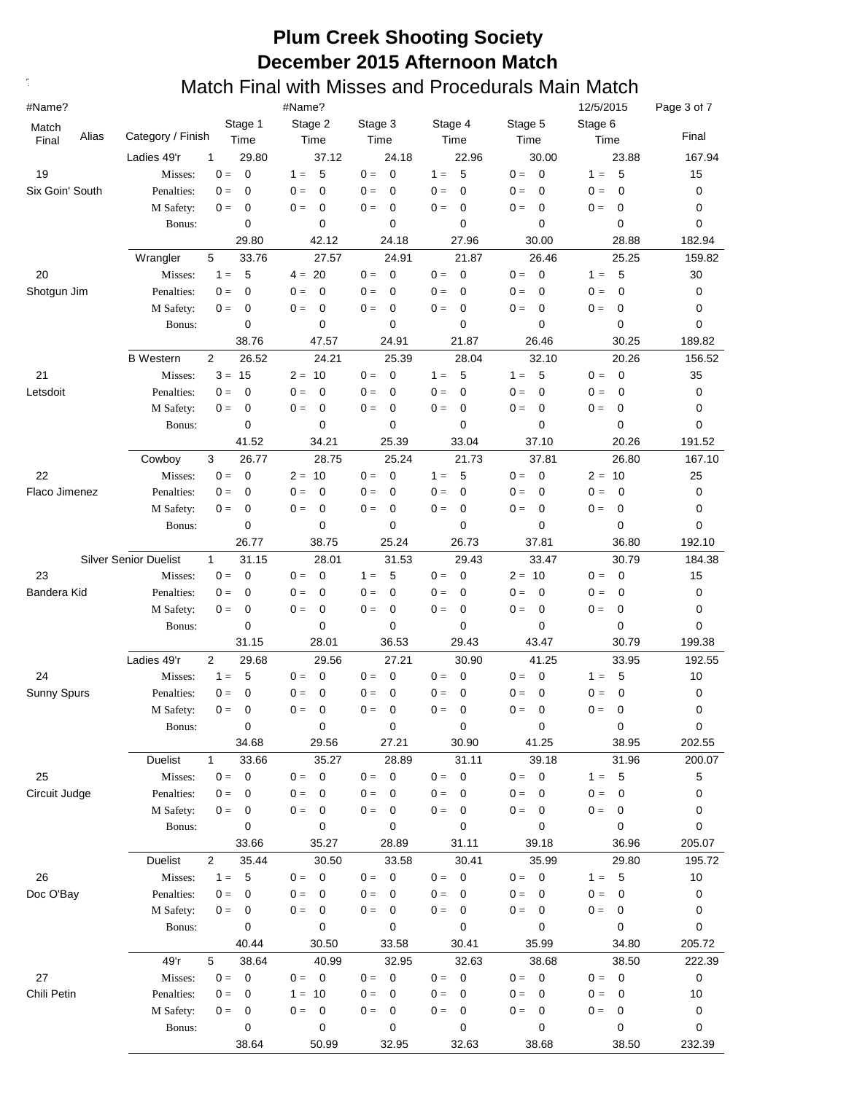| #Name?                  |                              |                         | #Name?                            |                      |                                  |                         | 12/5/2015                         | Page 3 of 7 |
|-------------------------|------------------------------|-------------------------|-----------------------------------|----------------------|----------------------------------|-------------------------|-----------------------------------|-------------|
| Match<br>Alias<br>Final | Category / Finish            | Stage 1<br>Time         | Stage 2<br>Time                   | Stage 3<br>Time      | Stage 4<br>Time                  | Stage 5<br>Time         | Stage 6<br>Time                   | Final       |
|                         | Ladies 49'r                  | 29.80<br>1              | 37.12                             | 24.18                | 22.96                            | 30.00                   | 23.88                             | 167.94      |
| 19                      | Misses:                      | $\mathbf 0$<br>$0 =$    | 5<br>$1 =$                        | $0 =$<br>$\mathbf 0$ | 5<br>$1 =$                       | $\overline{0}$<br>$0 =$ | 5<br>$1 =$                        | 15          |
| Six Goin' South         | Penalties:                   | $\mathbf 0$<br>$0 =$    | $\mathbf 0$<br>$0 =$              | $0 =$<br>0           | $\mathbf 0$<br>$0 =$             | $0 =$<br>0              | $\mathbf 0$<br>$0 =$              | 0           |
|                         | M Safety:                    | $\mathbf 0$<br>$0 =$    | $\mathbf 0$<br>$0 =$              | $0 =$<br>0           | $\mathbf 0$<br>$0 =$             | $0 =$<br>0              | $0 =$<br>$\mathbf 0$              | 0           |
|                         | Bonus:                       | 0                       | 0                                 | 0                    | $\mathbf 0$                      | 0                       | 0                                 | 0           |
|                         |                              | 29.80                   | 42.12                             | 24.18                | 27.96                            | 30.00                   | 28.88                             | 182.94      |
|                         | Wrangler                     | 5<br>33.76              | 27.57                             | 24.91                | 21.87                            | 26.46                   | 25.25                             | 159.82      |
| 20                      | Misses:                      | $1 =$<br>5              | 20<br>$4 =$                       | $0 =$<br>0           | $\overline{0}$<br>$0 =$          | $0 =$<br>$\mathbf 0$    | $1 =$<br>-5                       | 30          |
| Shotgun Jim             | Penalties:                   | 0<br>$0 =$              | $\mathbf 0$<br>$0 =$              | $0 =$<br>0           | 0<br>$0 =$                       | $0 =$<br>0              | $\mathbf 0$<br>$0 =$              | 0           |
|                         | M Safety:                    | 0<br>$0 =$              | 0<br>$0 =$                        | $0 =$<br>0           | $0 =$<br>$\mathbf 0$             | $0 =$<br>0              | $\mathbf 0$<br>$0 =$              | 0           |
|                         | Bonus:                       | 0                       | 0                                 | 0                    | $\mathbf 0$                      | 0                       | 0                                 | 0           |
|                         |                              | 38.76                   | 47.57                             | 24.91                | 21.87                            | 26.46                   | 30.25                             | 189.82      |
|                         | <b>B</b> Western             | $\overline{2}$<br>26.52 | 24.21                             | 25.39                | 28.04                            | 32.10                   | 20.26                             | 156.52      |
| 21                      | Misses:                      | $3 =$<br>15             | $2 =$<br>10                       | $0 =$<br>0           | 5<br>$1 =$                       | 5<br>$1 =$              | $0 =$<br>$\mathbf 0$              | 35          |
| Letsdoit                | Penalties:                   | 0<br>$0 =$              | 0<br>$0 =$                        | $0 =$<br>0           | $\mathbf 0$<br>$0 =$             | $\mathbf 0$<br>$0 =$    | $0 =$<br>$\mathbf 0$              | 0           |
|                         | M Safety:                    | 0<br>$0 =$              | 0<br>$0 =$                        | $0 =$<br>0           | $0 =$<br>$\mathbf 0$             | $0 =$<br>0              | $0 =$<br>0                        | 0           |
|                         | Bonus:                       | 0                       | 0                                 | 0                    | $\mathbf 0$                      | 0                       | 0                                 | 0           |
|                         |                              | 41.52                   | 34.21                             | 25.39                | 33.04                            | 37.10                   | 20.26                             | 191.52      |
|                         | Cowboy                       | 3<br>26.77              | 28.75                             | 25.24                | 21.73                            | 37.81                   | 26.80                             | 167.10      |
| 22                      | Misses:                      | $0 =$<br>$\mathbf 0$    | $2 =$<br>10                       | $\mathbf 0$<br>$0 =$ | 5<br>$1 =$                       | $0 =$<br>$\mathbf 0$    | $2 =$<br>10                       | 25          |
| Flaco Jimenez           | Penalties:                   | 0<br>$0 =$              | $0 =$<br>0                        | $0 =$<br>0           | $\mathbf 0$<br>$0 =$             | $\mathbf 0$<br>$0 =$    | $0 =$<br>0                        | 0           |
|                         | M Safety:                    | 0<br>$0 =$              | $0 =$<br>0                        | $\mathbf 0$<br>$0 =$ | $0 =$<br>$\mathbf 0$             | $\mathbf 0$<br>$0 =$    | $0 =$<br>0                        | 0           |
|                         | Bonus:                       | 0                       | 0                                 | 0                    | $\mathbf 0$                      | 0                       | $\mathbf 0$                       | 0           |
|                         |                              | 26.77                   | 38.75                             | 25.24                | 26.73                            | 37.81                   | 36.80                             | 192.10      |
|                         | <b>Silver Senior Duelist</b> | $\mathbf{1}$<br>31.15   | 28.01                             | 31.53                | 29.43                            | 33.47                   | 30.79                             | 184.38      |
| 23                      | Misses:                      | $\mathbf 0$<br>$0 =$    | $0 =$<br>0                        | 5<br>$1 =$           | $\mathbf 0$<br>$0 =$             | $2 = 10$                | $0 =$<br>$\mathbf 0$              | 15          |
| Bandera Kid             | Penalties:                   | 0<br>$0 =$              | $\mathbf 0$<br>$0 =$              | $\mathbf 0$<br>$0 =$ | $\mathbf 0$<br>$0 =$             | $0 =$<br>0              | 0<br>$0 =$                        | 0           |
|                         | M Safety:                    | 0<br>$0 =$              | $0 =$<br>0                        | $0 =$<br>0           | $0 =$<br>$\mathbf 0$             | 0<br>$0 =$              | $0 =$<br>0                        | 0           |
|                         | Bonus:                       | 0                       | 0                                 | 0                    | $\mathbf 0$                      | 0                       | 0                                 | 0           |
|                         |                              | 31.15                   | 28.01                             | 36.53                | 29.43                            | 43.47                   | 30.79                             | 199.38      |
|                         | Ladies 49'r                  | $\overline{2}$<br>29.68 | 29.56                             | 27.21                | 30.90                            | 41.25                   | 33.95                             | 192.55      |
| 24                      | Misses:                      | 5<br>$1 =$              | $0 =$<br>0                        | $0 =$<br>0           | $0 =$<br>0                       | $0 =$<br>0              | 5<br>$1 =$                        | 10          |
| Sunny Spurs             | Penalties:                   | $\mathbf 0$<br>$0 =$    | $\mathbf 0$<br>$0 =$              | $\mathbf 0$<br>$0 =$ | $\mathbf 0$<br>$0 =$             | $\mathbf 0$<br>$0 =$    | 0<br>$0 =$                        | 0           |
|                         | M Safety:                    | 0<br>$0 =$              | 0<br>$0 =$                        | $\mathbf 0$<br>$0 =$ | $0 =$<br>$\mathbf 0$             | 0<br>$0 =$              | $0 =$<br>0                        | 0           |
|                         | Bonus:                       | 0                       | 0                                 | 0                    | 0                                | 0                       | 0                                 | $\mathbf 0$ |
|                         |                              | 34.68                   | 29.56                             | 27.21                | 30.90                            | 41.25                   | 38.95                             | 202.55      |
|                         | <b>Duelist</b>               | 33.66<br>$\mathbf{1}$   | 35.27                             | 28.89                | 31.11                            | 39.18                   | 31.96                             | 200.07      |
| 25                      | Misses:                      | $\mathbf 0$<br>$0 =$    | $\overline{\mathbf{0}}$<br>$0 =$  | $0 = 0$              | $\overline{\mathbf{0}}$<br>$0 =$ | $0 = 0$                 | 5<br>$1 =$                        | 5           |
| Circuit Judge           | Penalties:                   | $0 =$<br>0              | $0 =$<br>0                        | $0 =$<br>0           | $0 =$<br>$\mathbf 0$             | $0 =$<br>$\mathbf 0$    | $0 =$<br>0                        | 0           |
|                         | M Safety:                    | $0 =$<br>0              | $0 =$<br>0                        | $0 =$<br>0           | $0 =$<br>$\mathbf 0$             | $\mathbf 0$<br>$0 =$    | $0 =$<br>0                        | 0           |
|                         | Bonus:                       | 0                       | 0                                 | 0                    | 0                                | 0                       | 0                                 | 0           |
|                         |                              | 33.66                   | 35.27                             | 28.89                | 31.11                            | 39.18                   | 36.96                             | 205.07      |
|                         | <b>Duelist</b>               | $\overline{2}$<br>35.44 | 30.50                             | 33.58                | 30.41                            | 35.99                   | 29.80                             | 195.72      |
| 26                      | Misses:                      | 5<br>$1 =$              | $\overline{\mathbf{0}}$<br>$0 =$  | $0 = 0$              | $\overline{\mathbf{0}}$<br>$0 =$ | $0 = 0$                 | 5<br>$1 =$                        | 10          |
| Doc O'Bay               | Penalties:                   | 0<br>$0 =$              | $0 =$<br>0                        | $0 =$<br>0           | $\mathbf{0} =$<br>$\mathbf 0$    | $0 =$<br>$\mathbf 0$    | $0 =$<br>0                        | 0           |
|                         | M Safety:                    | 0<br>$0 =$              | $0 =$<br>0                        | $0 =$<br>0           | $0 =$<br>0                       | $\mathbf 0$<br>$0 =$    | $0 =$<br>0                        | 0           |
|                         | Bonus:                       | 0                       | 0                                 | 0                    | 0                                | 0                       | 0                                 | 0           |
|                         |                              | 40.44                   | 30.50                             | 33.58                | 30.41                            | 35.99                   | 34.80                             | 205.72      |
|                         | 49'r                         | 38.64<br>5              | 40.99                             | 32.95                | 32.63                            | 38.68                   | 38.50                             | 222.39      |
| 27                      | Misses:                      | $0 =$<br>$\mathbf 0$    | $\overline{\phantom{0}}$<br>$0 =$ | $0 = 0$              | $0 = 0$                          | $0 = 0$                 | $\overline{\phantom{0}}$<br>$0 =$ | 0           |
| Chili Petin             | Penalties:                   | $0 =$<br>0              | $1 =$<br>10                       | $0 =$<br>0           | $0 =$<br>0                       | $0 =$<br>0              | $0 =$<br>0                        | 10          |
|                         | M Safety:                    | $0 =$<br>0              | $0 =$<br>0                        | $\mathbf{0} =$<br>0  | $\mathbf 0$<br>$0 =$             | 0<br>$0 =$              | $0 =$<br>0                        | 0           |
|                         | Bonus:                       | 0                       | 0                                 | 0                    | 0                                | 0                       | 0                                 | 0           |
|                         |                              | 38.64                   | 50.99                             | 32.95                | 32.63                            | 38.68                   | 38.50                             | 232.39      |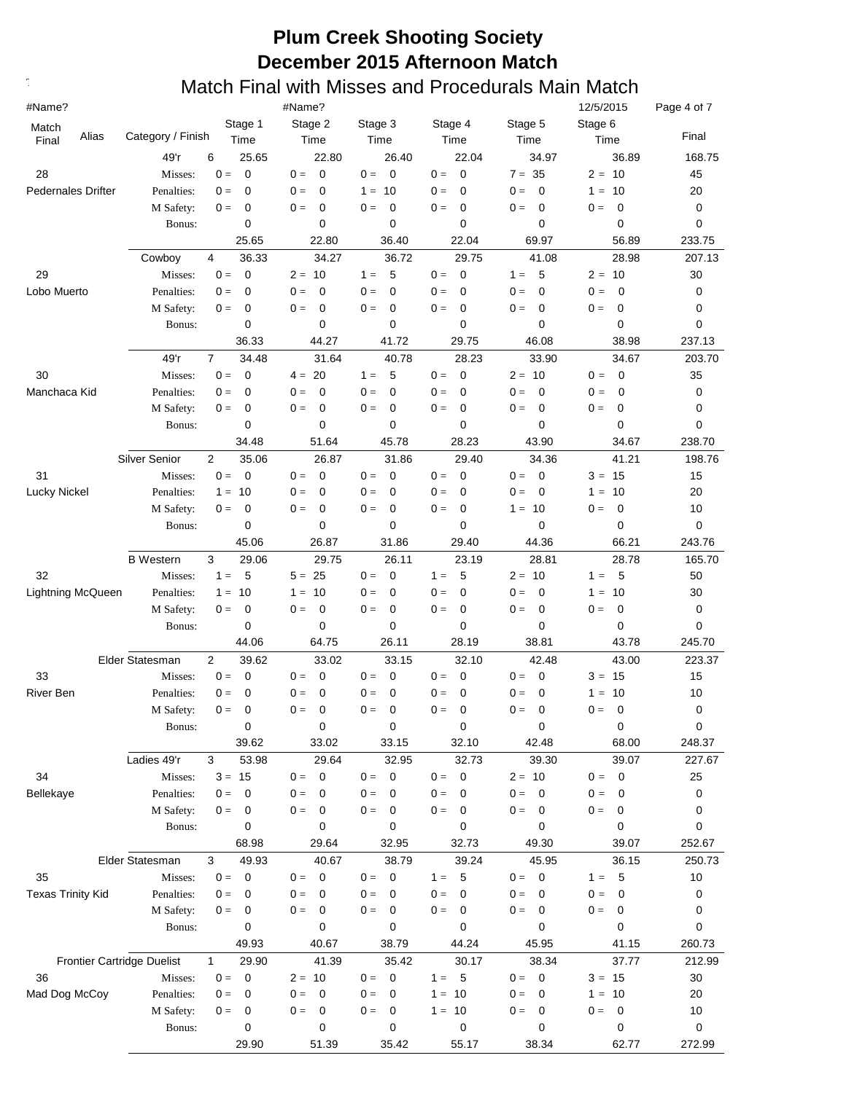| #Name?                            |                      |                         | #Name?               |                      |                               |                                   | 12/5/2015                     | Page 4 of 7 |
|-----------------------------------|----------------------|-------------------------|----------------------|----------------------|-------------------------------|-----------------------------------|-------------------------------|-------------|
| Match                             |                      | Stage 1                 | Stage 2              | Stage 3              | Stage 4                       | Stage 5                           | Stage 6                       |             |
| Alias<br>Final                    | Category / Finish    | Time                    | Time                 | Time                 | Time                          | Time                              | Time                          | Final       |
|                                   | 49'r                 | 25.65<br>6              | 22.80                | 26.40                | 22.04                         | 34.97                             | 36.89                         | 168.75      |
| 28                                | Misses:              | $\mathbf 0$<br>$0 =$    | $\mathbf 0$<br>$0 =$ | $0 =$<br>$\mathbf 0$ | $\overline{0}$<br>$0 =$       | $7 = 35$                          | $2 = 10$                      | 45          |
| <b>Pedernales Drifter</b>         | Penalties:           | $\mathbf 0$<br>$0 =$    | $\mathbf 0$<br>$0 =$ | 10<br>$1 =$          | $0 =$<br>$\mathbf 0$          | $\mathbf 0$<br>$0 =$              | 10<br>$1 =$                   | 20          |
|                                   | M Safety:            | $\mathbf 0$<br>$0 =$    | $\mathbf 0$<br>$0 =$ | $\mathbf 0$<br>$0 =$ | $\mathbf 0$<br>$0 =$          | $\mathbf 0$<br>$0 =$              | $0 =$<br>0                    | 0           |
|                                   | Bonus:               | 0                       | 0                    | 0                    | 0                             | 0                                 | 0                             | 0           |
|                                   |                      | 25.65                   | 22.80                | 36.40                | 22.04                         | 69.97                             | 56.89                         | 233.75      |
|                                   | Cowboy               | 36.33<br>4              | 34.27                | 36.72                | 29.75                         | 41.08                             | 28.98                         | 207.13      |
| 29                                | Misses:              | $0 =$<br>0              | $2 = 10$             | 5<br>$1 =$           | $\mathbf 0$<br>$0 =$          | 5<br>$1 =$                        | $2 = 10$                      | 30          |
| Lobo Muerto                       | Penalties:           | 0<br>$0 =$              | $0 =$<br>$\mathbf 0$ | $\mathbf 0$<br>$0 =$ | $0 =$<br>$\mathbf 0$          | $\mathbf 0$<br>$0 =$              | $\mathbf 0$<br>$0 =$          | 0           |
|                                   | M Safety:            | 0<br>$0 =$              | 0<br>$0 =$<br>0      | $0 =$<br>0           | $0 =$<br>$\mathbf 0$          | $\mathbf 0$<br>$0 =$<br>0         | $0 =$<br>0                    | 0           |
|                                   | Bonus:               | 0<br>36.33              | 44.27                | 0<br>41.72           | 0<br>29.75                    | 46.08                             | 0<br>38.98                    | 0<br>237.13 |
|                                   | 49'r                 | $\overline{7}$<br>34.48 | 31.64                | 40.78                |                               | 33.90                             |                               | 203.70      |
| 30                                | Misses:              | $0 =$<br>0              | $4 = 20$             | 5<br>$1 =$           | 28.23<br>$\mathbf 0$<br>$0 =$ | $2 = 10$                          | 34.67<br>$0 =$<br>$\mathbf 0$ | 35          |
| Manchaca Kid                      | Penalties:           | 0<br>$0 =$              | 0<br>$0 =$           | $\mathbf 0$<br>$0 =$ | $\mathbf 0$<br>$0 =$          | $0 =$<br>$\mathbf 0$              | $0 =$<br>0                    | 0           |
|                                   | M Safety:            | 0<br>$0 =$              | 0<br>$0 =$           | $\mathbf 0$<br>$0 =$ | $0 =$<br>$\mathbf 0$          | 0<br>$0 =$                        | 0<br>$0 =$                    | 0           |
|                                   | Bonus:               | 0                       | 0                    | 0                    | 0                             | 0                                 | 0                             | 0           |
|                                   |                      | 34.48                   | 51.64                | 45.78                | 28.23                         | 43.90                             | 34.67                         | 238.70      |
|                                   | <b>Silver Senior</b> | $\overline{2}$<br>35.06 | 26.87                | 31.86                | 29.40                         | 34.36                             | 41.21                         | 198.76      |
| 31                                | Misses:              | $0 =$<br>0              | $0 =$<br>0           | $0 =$<br>0           | $0 =$<br>0                    | $\mathbf 0$<br>$0 =$              | $3 = 15$                      | 15          |
| Lucky Nickel                      | Penalties:           | 10<br>$1 =$             | $0 =$<br>0           | $0 =$<br>0           | $0 =$<br>0                    | $0 =$<br>$\mathbf 0$              | 10<br>$1 =$                   | 20          |
|                                   | M Safety:            | 0<br>$0 =$              | $0 =$<br>0           | $\mathbf 0$<br>$0 =$ | $0 =$<br>0                    | $1 = 10$                          | 0<br>$0 =$                    | 10          |
|                                   | Bonus:               | 0                       | 0                    | 0                    | 0                             | 0                                 | 0                             | 0           |
|                                   |                      | 45.06                   | 26.87                | 31.86                | 29.40                         | 44.36                             | 66.21                         | 243.76      |
|                                   | <b>B</b> Western     | 3<br>29.06              | 29.75                | 26.11                | 23.19                         | 28.81                             | 28.78                         | 165.70      |
| 32                                | Misses:              | 5<br>$1 =$              | $5 =$<br>25          | $\mathbf 0$<br>$0 =$ | 5<br>$1 =$                    | $2 = 10$                          | 5<br>$1 =$                    | 50          |
| Lightning McQueen                 | Penalties:           | 10<br>$1 =$             | 10<br>$1 =$          | $\mathbf 0$<br>$0 =$ | $\mathbf 0$<br>$0 =$          | $0 =$<br>0                        | 10<br>$1 =$                   | 30          |
|                                   | M Safety:            | 0<br>$0 =$              | $0 =$<br>0           | $\mathbf 0$<br>$0 =$ | $\mathbf 0$<br>$0 =$          | $0 =$<br>$\mathbf 0$              | $0 =$<br>0                    | 0           |
|                                   | Bonus:               | 0                       | 0                    | 0                    | 0                             | 0                                 | $\mathbf 0$                   | 0           |
|                                   |                      | 44.06                   | 64.75                | 26.11                | 28.19                         | 38.81                             | 43.78                         | 245.70      |
|                                   | Elder Statesman      | $\overline{2}$<br>39.62 | 33.02                | 33.15                | 32.10                         | 42.48                             | 43.00                         | 223.37      |
| 33                                | Misses:              | $0 =$<br>0              | 0<br>$0 =$           | $0 =$<br>0           | $0 =$<br>$\mathbf 0$          | 0<br>$0 =$                        | $3 =$<br>15                   | 15          |
| River Ben                         | Penalties:           | $0 =$<br>0              | 0<br>$0 =$           | $0 =$<br>0           | $0 =$<br>$\mathbf 0$          | $0 =$<br>0                        | 10<br>$1 =$                   | 10          |
|                                   | M Safety:            | 0<br>$0 =$              | $0 =$<br>$\mathbf 0$ | $0 =$<br>0           | $0 =$<br>$\mathbf 0$          | $0 =$<br>$\mathbf 0$              | $0 =$<br>$\mathbf 0$          | 0           |
|                                   | Bonus:               | 0                       | 0                    | 0                    | $\pmb{0}$                     | 0                                 | $\mathbf 0$                   | 0           |
|                                   |                      | 39.62                   | 33.02                | 33.15                | 32.10                         | 42.48                             | 68.00                         | 248.37      |
|                                   | Ladies 49'r          | 3<br>53.98              | 29.64                | 32.95                | 32.73                         | 39.30                             | 39.07                         | 227.67      |
| 34                                | Misses:              | 15<br>$3 =$             | $\mathbf 0$<br>$0 =$ | $0 =$<br>$\mathbf 0$ | $\mathbf 0$<br>$0 =$          | $2 = 10$                          | $\mathbf 0$<br>$0 =$          | 25          |
| Bellekaye                         | Penalties:           | $0 =$<br>0              | $0 =$<br>0           | $0 =$<br>0           | $0 =$<br>0                    | $0 =$<br>$\mathbf 0$              | $0 =$<br>0                    | 0           |
|                                   | M Safety:<br>Bonus:  | $0 =$<br>0<br>0         | 0<br>$0 =$<br>0      | 0<br>$0 =$<br>0      | $0 =$<br>0<br>0               | $\mathbf 0$<br>$0 =$<br>0         | $0 =$<br>0<br>0               | 0           |
|                                   |                      | 68.98                   | 29.64                | 32.95                | 32.73                         | 49.30                             | 39.07                         | 0<br>252.67 |
|                                   | Elder Statesman      | 49.93<br>3              | 40.67                | 38.79                | 39.24                         | 45.95                             | 36.15                         | 250.73      |
| 35                                | Misses:              | $0 =$<br>0              | $\mathbf 0$<br>$0 =$ | $\mathbf 0$<br>$0 =$ | -5<br>$1 =$                   | $0 = 0$                           | 5<br>$1 =$                    | 10          |
| <b>Texas Trinity Kid</b>          | Penalties:           | $0 =$<br>0              | $0 =$<br>0           | $0 =$<br>0           | $0 =$<br>$\mathbf 0$          | $0 =$<br>$\mathbf 0$              | $0 =$<br>0                    | 0           |
|                                   | M Safety:            | 0<br>$0 =$              | $0 =$<br>0           | 0<br>$0 =$           | $0 =$<br>$\mathbf 0$          | $0 =$<br>0                        | $0 =$<br>$\mathbf 0$          | 0           |
|                                   | Bonus:               | 0                       | 0                    | 0                    | 0                             | 0                                 | 0                             | 0           |
|                                   |                      | 49.93                   | 40.67                | 38.79                | 44.24                         | 45.95                             | 41.15                         | 260.73      |
| <b>Frontier Cartridge Duelist</b> |                      | 29.90<br>$\mathbf{1}$   | 41.39                | 35.42                | 30.17                         | 38.34                             | 37.77                         | 212.99      |
| 36                                | Misses:              | 0<br>$0 =$              | $2 = 10$             | 0<br>$0 =$           | - 5<br>$1 =$                  | $\overline{\phantom{0}}$<br>$0 =$ | $3 = 15$                      | 30          |
| Mad Dog McCoy                     | Penalties:           | $0 =$<br>0              | $0 =$<br>0           | $0 =$<br>0           | $1 =$<br>-10                  | $0 =$<br>0                        | $1 =$<br>10                   | 20          |
|                                   | M Safety:            | $0 =$<br>0              | $0 =$<br>0           | 0<br>$0 =$           | $1 = 10$                      | $\mathbf 0$<br>$0 =$              | $\mathbf 0$<br>$0 =$          | 10          |
|                                   | Bonus:               | 0                       | 0                    | 0                    | $\mathbf 0$                   | 0                                 | 0                             | 0           |
|                                   |                      | 29.90                   | 51.39                | 35.42                | 55.17                         | 38.34                             | 62.77                         | 272.99      |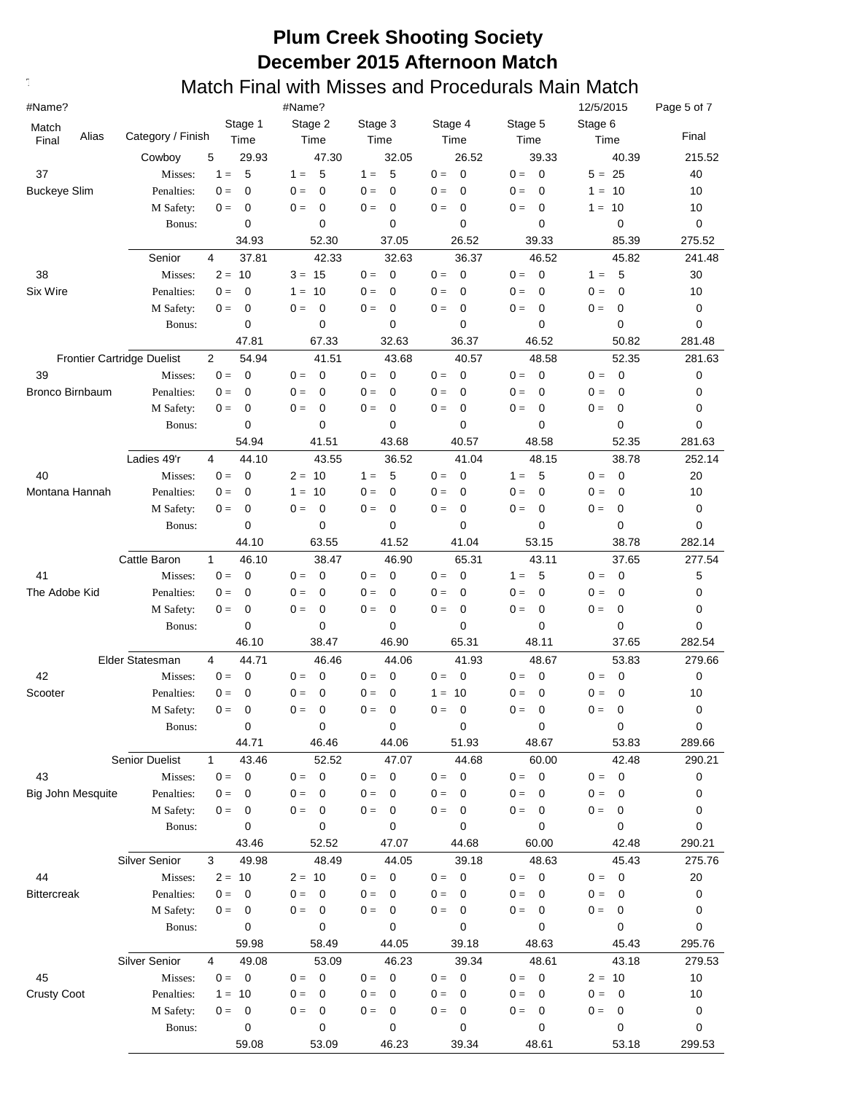| #Name?                   |                                   |                         | #Name?                           |                      |                                  |                                   | 12/5/2015               | Page 5 of 7 |
|--------------------------|-----------------------------------|-------------------------|----------------------------------|----------------------|----------------------------------|-----------------------------------|-------------------------|-------------|
| Match                    |                                   | Stage 1                 | Stage 2                          | Stage 3              | Stage 4                          | Stage 5                           | Stage 6                 |             |
| Alias<br>Final           | Category / Finish                 | Time                    | Time                             | Time                 | Time                             | Time                              | Time                    | Final       |
|                          | Cowboy                            | 5<br>29.93              | 47.30                            | 32.05                | 26.52                            | 39.33                             | 40.39                   | 215.52      |
| 37                       | Misses:                           | 5<br>$1 =$              | 5<br>$1 =$                       | 5<br>$1 =$           | $0 =$<br>$\mathbf 0$             | $0 =$<br>$\mathbf 0$              | $5 = 25$                | 40          |
| <b>Buckeye Slim</b>      | Penalties:                        | 0<br>$0 =$              | $0 =$<br>0                       | $0 =$<br>$\mathbf 0$ | $0 =$<br>$\mathbf 0$             | $0 =$<br>$\mathbf 0$              | $1 =$<br>10             | 10          |
|                          | M Safety:                         | 0<br>$0 =$              | 0<br>$0 =$                       | $0 =$<br>0           | $0 =$<br>$\mathbf 0$             | 0<br>$0 =$                        | 10<br>$1 =$             | 10          |
|                          | Bonus:                            | 0                       | 0                                | 0                    | 0                                | 0                                 | $\mathbf 0$             | 0           |
|                          |                                   | 34.93                   | 52.30                            | 37.05                | 26.52                            | 39.33                             | 85.39                   | 275.52      |
|                          | Senior                            | 4<br>37.81              | 42.33                            | 32.63                | 36.37                            | 46.52                             | 45.82                   | 241.48      |
| 38                       | Misses:                           | $2 =$<br>10             | $3 = 15$                         | $\mathbf 0$<br>$0 =$ | $\overline{0}$<br>$0 =$          | $0 =$<br>$\mathbf 0$              | 5<br>$1 =$              | 30          |
| Six Wire                 | Penalties:                        | 0<br>$0 =$              | $1 =$<br>10                      | $0 =$<br>0           | $0 =$<br>$\mathbf 0$             | $0 =$<br>0                        | 0<br>$0 =$              | 10          |
|                          | M Safety:                         | 0<br>$0 =$              | 0<br>$0 =$                       | $\mathbf 0$<br>$0 =$ | $\mathbf 0$<br>$0 =$             | 0<br>$0 =$                        | $0 =$<br>0              | 0           |
|                          | Bonus:                            | 0                       | 0                                | 0                    | 0                                | 0                                 | $\mathbf 0$             | 0           |
|                          |                                   | 47.81                   | 67.33                            | 32.63                | 36.37                            | 46.52                             | 50.82                   | 281.48      |
|                          | <b>Frontier Cartridge Duelist</b> | $\overline{2}$<br>54.94 | 41.51                            | 43.68                | 40.57                            | 48.58                             | 52.35                   | 281.63      |
| 39                       | Misses:                           | $0 =$<br>0              | $0 =$<br>0                       | $0 =$<br>0           | $0 =$<br>$\mathbf 0$             | $0 =$<br>0                        | $0 =$<br>$\mathbf 0$    | 0           |
| <b>Bronco Birnbaum</b>   | Penalties:                        | 0<br>$0 =$              | $0 =$<br>0                       | $0 =$<br>0           | $0 =$<br>0                       | $0 =$<br>0                        | $0 =$<br>0              | 0           |
|                          | M Safety:                         | 0<br>$0 =$              | $0 =$<br>0                       | $0 =$<br>0           | $0 =$<br>0                       | $0 =$<br>0                        | 0<br>$0 =$              | 0           |
|                          | Bonus:                            | 0                       | 0                                | 0                    | 0                                | 0                                 | $\mathbf 0$             | 0           |
|                          |                                   | 54.94                   | 41.51                            | 43.68                | 40.57                            | 48.58                             | 52.35                   | 281.63      |
|                          | Ladies 49'r                       | 4<br>44.10              | 43.55                            | 36.52                | 41.04                            | 48.15                             | 38.78                   | 252.14      |
| 40                       | Misses:                           | $\mathbf 0$<br>$0 =$    | $2 =$<br>10                      | 5<br>$1 =$           | $\mathbf 0$<br>$0 =$             | 5<br>$1 =$                        | $0 =$<br>$\mathbf 0$    | 20          |
| Montana Hannah           | Penalties:                        | 0<br>$0 =$              | 10<br>$1 =$                      | $\mathbf 0$<br>$0 =$ | $0 =$<br>$\mathbf 0$             | $\mathbf 0$<br>$0 =$              | $0 =$<br>0              | 10          |
|                          | M Safety:                         | 0<br>$0 =$              | $\mathbf 0$<br>$0 =$             | $\mathbf 0$<br>$0 =$ | $0 =$<br>$\mathbf 0$             | $0 =$<br>$\mathbf 0$              | $0 =$<br>0              | 0           |
|                          | Bonus:                            | $\mathbf 0$             | 0                                | 0                    | 0                                | 0                                 | $\mathbf 0$             | 0           |
|                          |                                   | 44.10                   | 63.55                            | 41.52                | 41.04                            | 53.15                             | 38.78                   | 282.14      |
|                          | Cattle Baron                      | $\mathbf{1}$<br>46.10   | 38.47                            | 46.90                | 65.31                            | 43.11                             | 37.65                   | 277.54      |
| 41                       | Misses:                           | $0 =$<br>0              | $0 =$<br>0                       | $0 =$<br>0           | $0 =$<br>$\mathbf 0$             | $1 =$<br>5                        | $\mathbf 0$<br>$0 =$    | 5           |
| The Adobe Kid            | Penalties:                        | 0<br>$0 =$              | 0<br>$0 =$                       | $0 =$<br>0           | $0 =$<br>$\mathbf 0$             | $0 =$<br>$\mathbf 0$              | $\mathbf 0$<br>$0 =$    | 0           |
|                          | M Safety:                         | 0<br>$0 =$              | $0 =$<br>0                       | $0 =$<br>0           | $0 =$<br>$\mathbf 0$             | $0 =$<br>$\mathbf 0$              | $0 =$<br>0              | 0           |
|                          | Bonus:                            | 0                       | 0                                | 0                    | 0                                | 0                                 | $\mathbf 0$             | 0           |
|                          |                                   | 46.10                   | 38.47                            | 46.90                | 65.31                            | 48.11                             | 37.65                   | 282.54      |
|                          | Elder Statesman                   | 4<br>44.71              | 46.46                            | 44.06                | 41.93                            | 48.67                             | 53.83                   | 279.66      |
| 42                       | Misses:                           | $0 =$<br>0              | 0<br>$0 =$                       | $0 =$<br>0           | $0 =$<br>$\mathbf 0$             | $0 =$<br>0                        | $\mathbf 0$<br>$0 =$    | 0           |
| Scooter                  | Penalties:                        | 0<br>$0 =$              | 0<br>$0 =$                       | 0<br>$0 =$           | $1 =$<br>10                      | 0<br>$0 =$                        | 0<br>$0 =$              | 10          |
|                          | M Safety:                         | $0 =$<br>0              | 0<br>$0 =$                       | $\mathbf 0$<br>$0 =$ | $0 =$<br>$\mathbf 0$             | $\mathbf 0$<br>$0 =$              | $0 =$<br>0              | 0           |
|                          | Bonus:                            | 0                       | 0                                | 0                    | 0                                | 0                                 | 0                       | $\mathbf 0$ |
|                          |                                   | 44.71                   | 46.46                            | 44.06                | 51.93                            | 48.67                             | 53.83                   | 289.66      |
|                          | Senior Duelist                    | 43.46<br>$\mathbf{1}$   | 52.52                            | 47.07                | 44.68                            | 60.00                             | 42.48                   | 290.21      |
| 43                       | Misses:                           | $\mathbf 0$<br>$0 =$    | $\mathbf 0$<br>$0 =$             | $\mathbf 0$<br>$0 =$ | $\mathbf 0$<br>$0 =$             | $0 = 0$                           | $\overline{0}$<br>$0 =$ | 0           |
| <b>Big John Mesquite</b> | Penalties:                        | $0 =$<br>0              | $0 =$<br>0                       | $0 =$<br>$\mathbf 0$ | $0 =$<br>$\mathbf 0$             | $0 =$<br>0                        | $0 =$<br>0              | 0           |
|                          | M Safety:                         | 0<br>$0 =$              | $0 =$<br>0                       | $0 =$<br>0           | $0 =$<br>$\mathbf 0$             | $0 =$<br>0                        | $0 =$<br>0              | 0           |
|                          | Bonus:                            | 0                       | 0                                | 0                    | 0                                | 0                                 | 0                       | 0           |
|                          |                                   | 43.46                   | 52.52                            | 47.07                | 44.68                            | 60.00                             | 42.48                   | 290.21      |
|                          | <b>Silver Senior</b>              | 49.98<br>3              | 48.49                            | 44.05                | 39.18                            | 48.63                             | 45.43                   | 275.76      |
| 44                       | Misses:                           | $2 =$<br>10             | $2 = 10$                         | $\mathbf 0$<br>$0 =$ | $\overline{\mathbf{0}}$<br>$0 =$ | $\overline{\phantom{0}}$<br>$0 =$ | $\mathbf 0$<br>$0 =$    | 20          |
| <b>Bittercreak</b>       | Penalties:                        | $0 =$<br>0              | $0 =$<br>0                       | $0 =$<br>0           | $0 =$<br>0                       | $0 =$<br>0                        | $0 =$<br>0              | 0           |
|                          | M Safety:                         | 0<br>$0 =$              | $0 =$<br>0                       | $0 =$<br>0           | $0 =$<br>0                       | 0<br>$0 =$                        | $0 =$<br>0              | 0           |
|                          | Bonus:                            | 0                       | 0                                | 0                    | 0                                | 0                                 | 0                       | 0           |
|                          |                                   | 59.98                   | 58.49                            | 44.05                | 39.18                            | 48.63                             | 45.43                   | 295.76      |
|                          | <b>Silver Senior</b>              | 4<br>49.08              | 53.09                            | 46.23                | 39.34                            | 48.61                             | 43.18                   | 279.53      |
| 45                       | Misses:                           | $\overline{0}$<br>$0 =$ | $\overline{\mathbf{0}}$<br>$0 =$ | $0 =$<br>$\mathbf 0$ | $\overline{\mathbf{0}}$<br>$0 =$ | $0 = 0$                           | $2 = 10$                | 10          |
| <b>Crusty Coot</b>       | Penalties:                        | 10<br>$1 =$             | $0 =$<br>0                       | $0 =$<br>0           | $0 =$<br>0                       | $0 =$<br>0                        | $0 =$<br>0              | 10          |
|                          | M Safety:                         | $0 =$<br>0              | $0 =$<br>0                       | 0<br>$0 =$           | 0<br>$0 =$                       | 0<br>$0 =$                        | $0 =$<br>0              | 0           |
|                          | Bonus:                            | 0                       | 0                                | 0                    | 0                                | 0                                 | 0                       | 0           |
|                          |                                   | 59.08                   | 53.09                            | 46.23                | 39.34                            | 48.61                             | 53.18                   | 299.53      |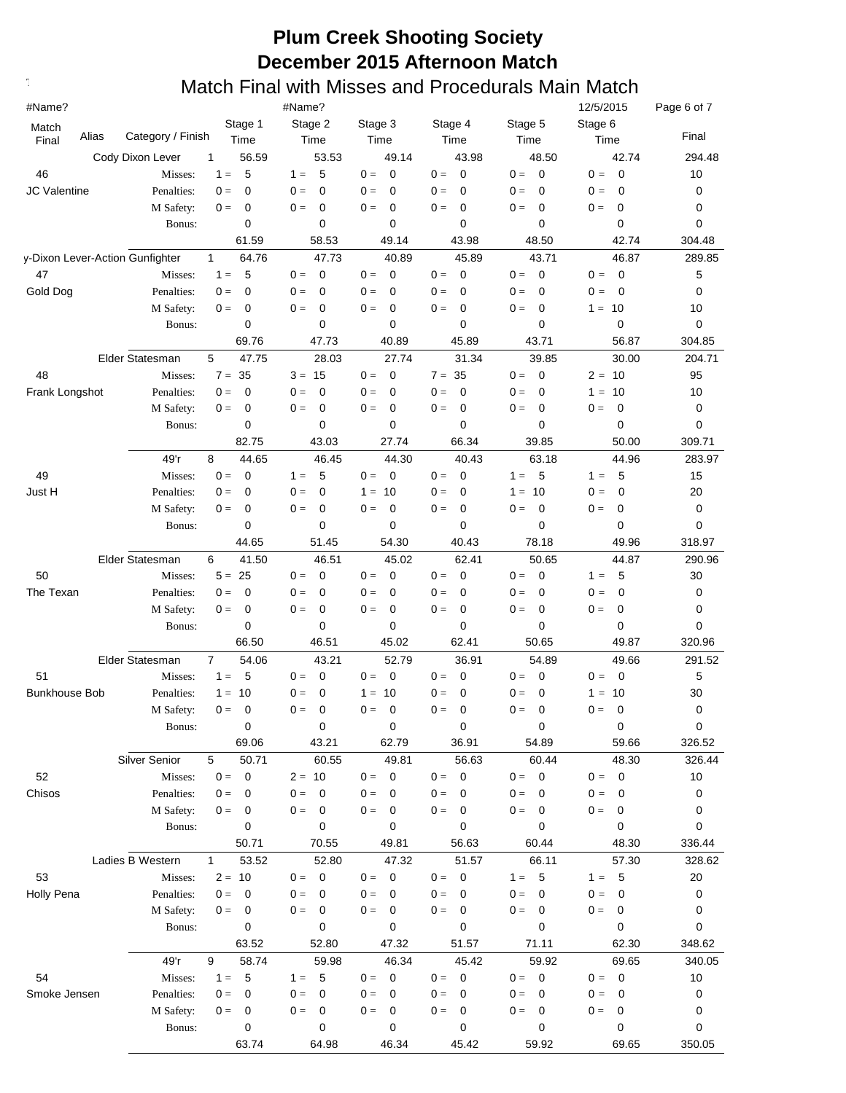| #Name?               |                                 |                   |                |             | #Name?   |                         |         |             |       |                          |         |                | 12/5/2015 |                          | Page 6 of 7 |
|----------------------|---------------------------------|-------------------|----------------|-------------|----------|-------------------------|---------|-------------|-------|--------------------------|---------|----------------|-----------|--------------------------|-------------|
| Match                | Alias                           | Category / Finish |                | Stage 1     |          | Stage 2                 | Stage 3 |             |       | Stage 4                  | Stage 5 |                | Stage 6   |                          | Final       |
| Final                |                                 |                   |                | Time        |          | Time                    |         | Time        |       | Time                     |         | Time           |           | Time                     |             |
|                      |                                 | Cody Dixon Lever  | 1              | 56.59       |          | 53.53                   |         | 49.14       |       | 43.98                    |         | 48.50          |           | 42.74                    | 294.48      |
| 46                   |                                 | Misses:           | $1 =$          | 5           | $1 =$    | 5                       | $0 =$   | 0           | $0 =$ | $\mathbf 0$              | $0 =$   | $\mathbf 0$    | $0 =$     | $\mathbf 0$              | 10          |
| <b>JC Valentine</b>  |                                 | Penalties:        | $0 =$          | $\mathbf 0$ | $0 =$    | $\mathbf 0$             | $0 =$   | $\mathbf 0$ | $0 =$ | $\mathbf 0$              | $0 =$   | 0              | $0 =$     | $\mathbf 0$              | 0           |
|                      |                                 | M Safety:         | $0 =$          | 0           | $0 =$    | 0                       | $0 =$   | 0           | $0 =$ | $\mathbf 0$              | $0 =$   | 0              | $0 =$     | 0                        | 0           |
|                      |                                 | Bonus:            |                | 0           |          | 0                       |         | 0           |       | 0                        |         | 0              |           | 0                        | 0           |
|                      |                                 |                   |                | 61.59       |          | 58.53                   |         | 49.14       |       | 43.98                    |         | 48.50          |           | 42.74                    | 304.48      |
|                      | y-Dixon Lever-Action Gunfighter |                   | $\mathbf{1}$   | 64.76       |          | 47.73                   |         | 40.89       |       | 45.89                    |         | 43.71          |           | 46.87                    | 289.85      |
| 47                   |                                 | Misses:           | $1 =$          | 5           | $0 =$    | $\mathbf 0$             | $0 =$   | $\mathbf 0$ | $0 =$ | $\mathbf 0$              | $0 =$   | $\mathbf 0$    | $0 =$     | $\overline{\mathbf{0}}$  | 5           |
| Gold Dog             |                                 | Penalties:        | $0 =$          | 0           | $0 =$    | $\mathbf 0$             | $0 =$   | $\mathbf 0$ | $0 =$ | $\mathbf 0$              | $0 =$   | 0              | $0 =$     | 0                        | 0           |
|                      |                                 | M Safety:         | $0 =$          | 0           | $0 =$    | $\mathbf 0$             | $0 =$   | 0           | $0 =$ | 0                        | $0 =$   | 0              | $1 = 10$  |                          | 10          |
|                      |                                 | Bonus:            |                | 0           |          | 0                       |         | 0           |       | 0                        |         | $\mathbf 0$    |           | 0                        | 0           |
|                      |                                 |                   |                | 69.76       |          | 47.73                   |         | 40.89       |       | 45.89                    |         | 43.71          |           | 56.87                    | 304.85      |
|                      |                                 | Elder Statesman   | 5              | 47.75       |          | 28.03                   |         | 27.74       |       | 31.34                    |         | 39.85          |           | 30.00                    | 204.71      |
| 48                   |                                 | Misses:           | $7 = 35$       |             | $3 = 15$ |                         | $0 =$   | $\mathbf 0$ |       | $7 = 35$                 | $0 =$   | $\overline{0}$ | $2 = 10$  |                          | 95          |
| Frank Longshot       |                                 | Penalties:        | $0 =$          | 0           | $0 =$    | $\mathbf 0$             | $0 =$   | 0           | $0 =$ | $\mathbf 0$              | $0 =$   | 0              | $1 =$     | 10                       | 10          |
|                      |                                 | M Safety:         | $0 =$          | 0           | $0 =$    | $\mathbf 0$             | $0 =$   | 0           | $0 =$ | $\mathbf 0$              | $0 =$   | 0              | $0 =$     | 0                        | 0           |
|                      |                                 | Bonus:            |                | 0           |          | 0                       |         | $\mathbf 0$ |       | $\mathbf 0$              |         | $\mathbf 0$    |           | 0                        | 0           |
|                      |                                 |                   |                | 82.75       |          | 43.03                   |         | 27.74       |       | 66.34                    |         | 39.85          |           | 50.00                    | 309.71      |
|                      |                                 | 49'r              | 8              | 44.65       |          | 46.45                   |         | 44.30       |       | 40.43                    |         | 63.18          |           | 44.96                    | 283.97      |
| 49                   |                                 | Misses:           | $0 =$          | $\mathbf 0$ | $1 =$    | 5                       | $0 =$   | 0           | $0 =$ | $\mathbf 0$              | $1 =$   | 5              | $1 =$     | 5                        | 15          |
| Just H               |                                 | Penalties:        | $0 =$          | $\mathbf 0$ | $0 =$    | $\mathbf 0$             | $1 =$   | - 10        | $0 =$ | 0                        | $1 =$   | 10             | $0 =$     | 0                        | 20          |
|                      |                                 |                   | $0 =$          | 0           | $0 =$    | $\mathbf 0$             | $0 =$   | 0           | $0 =$ | $\mathbf 0$              | $0 =$   | $\mathbf 0$    |           | 0                        |             |
|                      |                                 | M Safety:         |                |             |          |                         |         |             |       |                          |         |                | $0 =$     |                          | 0           |
|                      |                                 | Bonus:            |                | 0           |          | 0                       |         | 0           |       | 0                        |         | $\mathbf 0$    |           | 0                        | 0           |
|                      |                                 |                   |                | 44.65       |          | 51.45                   |         | 54.30       |       | 40.43                    |         | 78.18          |           | 49.96                    | 318.97      |
|                      |                                 | Elder Statesman   | 6              | 41.50       |          | 46.51                   |         | 45.02       |       | 62.41                    |         | 50.65          |           | 44.87                    | 290.96      |
| 50                   |                                 | Misses:           | $5 = 25$       |             | $0 =$    | 0                       | $0 =$   | $\mathbf 0$ | $0 =$ | $\mathbf 0$              | $0 =$   | $\overline{0}$ | $1 =$     | 5                        | 30          |
| The Texan            |                                 | Penalties:        | $0 =$          | $\mathbf 0$ | $0 =$    | $\mathbf 0$             | $0 =$   | $\mathbf 0$ | $0 =$ | $\mathbf 0$              | $0 =$   | $\mathbf 0$    | $0 =$     | $\mathbf 0$              | 0           |
|                      |                                 | M Safety:         | $0 =$          | 0           | $0 =$    | $\mathbf 0$             | $0 =$   | $\mathbf 0$ | $0 =$ | $\mathbf 0$              | $0 =$   | $\mathbf 0$    | $0 =$     | 0                        | 0           |
|                      |                                 | Bonus:            |                | 0           |          | 0                       |         | 0           |       | 0                        |         | 0              |           | 0                        | 0           |
|                      |                                 |                   |                | 66.50       |          | 46.51                   |         | 45.02       |       | 62.41                    |         | 50.65          |           | 49.87                    | 320.96      |
|                      |                                 | Elder Statesman   | $\overline{7}$ | 54.06       |          | 43.21                   |         | 52.79       |       | 36.91                    |         | 54.89          |           | 49.66                    | 291.52      |
| 51                   |                                 | Misses:           | $1 =$          | 5           | $0 =$    | $\mathbf 0$             | $0 =$   | 0           | $0 =$ | $\mathbf 0$              | $0 =$   | $\mathbf 0$    | $0 =$     | $\overline{0}$           | 5           |
| <b>Bunkhouse Bob</b> |                                 | Penalties:        | $1 =$          | 10          | $0 =$    | $\mathbf 0$             | $1 =$   | 10          | $0 =$ | $\mathbf 0$              | $0 =$   | $\mathbf 0$    | $1 =$     | 10                       | 30          |
|                      |                                 | M Safety:         | $0 =$          | 0           | $0 =$    | 0                       | $0 =$   | 0           | $0 =$ | $\mathbf 0$              | $0 =$   | $\mathbf 0$    | $0 =$     | $\mathbf 0$              | 0           |
|                      |                                 | Bonus:            |                | 0           |          | 0                       |         | 0           |       | 0                        |         | $\pmb{0}$      |           | 0                        | 0           |
|                      |                                 |                   |                | 69.06       |          | 43.21                   |         | 62.79       |       | 36.91                    |         | 54.89          |           | 59.66                    | 326.52      |
|                      |                                 | Silver Senior     | 5              | 50.71       |          | 60.55                   |         | 49.81       |       | 56.63                    |         | 60.44          |           | 48.30                    | 326.44      |
| 52                   |                                 | Misses:           | $0 =$          | $\mathbf 0$ | $2 = 10$ |                         | $0 =$   | $\mathbf 0$ | $0 =$ | $\overline{\phantom{0}}$ | $0 = 0$ |                | $0 = 0$   |                          | 10          |
| Chisos               |                                 | Penalties:        | $0 =$          | 0           | $0 =$    | $\overline{0}$          | $0 =$   | 0           | $0 =$ | $\mathbf 0$              | $0 =$   | $\mathbf 0$    | $0 =$     | 0                        | 0           |
|                      |                                 | M Safety:         | $0 =$          | 0           | $0 =$    | $\overline{\mathbf{0}}$ | $0 =$   | 0           | $0 =$ | 0                        | $0 =$   | $\mathbf 0$    | $0 =$     | $\mathbf 0$              | 0           |
|                      |                                 | Bonus:            |                | 0           |          | 0                       |         | 0           |       | $\mathbf 0$              |         | $\mathbf 0$    |           | 0                        | 0           |
|                      |                                 |                   |                | 50.71       |          | 70.55                   |         | 49.81       |       | 56.63                    |         | 60.44          |           | 48.30                    | 336.44      |
|                      |                                 | Ladies B Western  | 1              | 53.52       |          | 52.80                   |         | 47.32       |       | 51.57                    |         | 66.11          |           | 57.30                    | 328.62      |
| 53                   |                                 |                   | $2 = 10$       |             | $0 = 0$  |                         |         | $\mathbf 0$ |       |                          | $1 = 5$ |                |           |                          |             |
|                      |                                 | Misses:           |                |             |          |                         | $0 =$   |             | $0 =$ | 0                        |         |                | $1 =$     | - 5                      | 20          |
| Holly Pena           |                                 | Penalties:        | $0 =$          | 0           | $0 =$    | 0                       | $0 =$   | 0           | $0 =$ | 0                        | $0 =$   | 0              | $0 =$     | $\mathbf 0$              | 0           |
|                      |                                 | M Safety:         | $0 =$          | 0           | $0 =$    | 0                       | $0 =$   | 0           | $0 =$ | 0                        | $0 =$   | $\mathbf 0$    | $0 =$     | 0                        | 0           |
|                      |                                 | Bonus:            |                | 0           |          | 0                       |         | 0           |       | 0                        |         | 0              |           | 0                        | 0           |
|                      |                                 |                   |                | 63.52       |          | 52.80                   |         | 47.32       |       | 51.57                    |         | 71.11          |           | 62.30                    | 348.62      |
|                      |                                 | 49'r              | 9              | 58.74       |          | 59.98                   |         | 46.34       |       | 45.42                    |         | 59.92          |           | 69.65                    | 340.05      |
| 54                   |                                 | Misses:           | $1 = 5$        |             | $1 = 5$  |                         | $0 =$   | 0           | $0 =$ | $\overline{\phantom{0}}$ | $0 = 0$ |                | $0 =$     | $\overline{\phantom{0}}$ | 10          |
| Smoke Jensen         |                                 | Penalties:        | $0 =$          | 0           | $0 =$    | 0                       | $0 =$   | 0           | $0 =$ | 0                        | $0 =$   | 0              | $0 =$     | 0                        | 0           |
|                      |                                 | M Safety:         | $0 =$          | 0           | $0 =$    | 0                       | $0 =$   | 0           | $0 =$ | 0                        | $0 =$   | 0              | $0 =$     | 0                        | 0           |
|                      |                                 | Bonus:            |                | 0           |          | 0                       |         | 0           |       | 0                        |         | 0              |           | 0                        | 0           |
|                      |                                 |                   |                | 63.74       |          | 64.98                   |         | 46.34       |       | 45.42                    |         | 59.92          |           | 69.65                    | 350.05      |